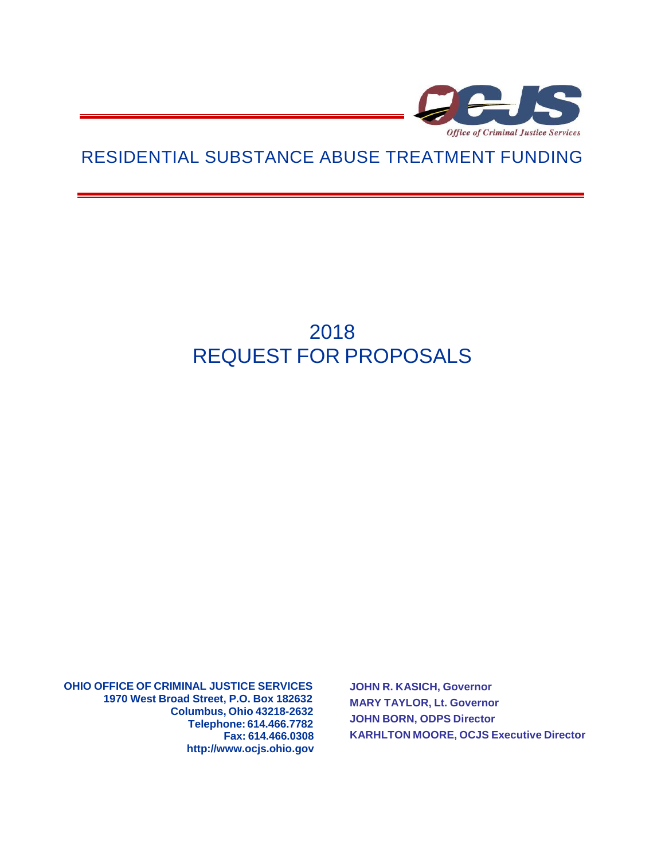

## RESIDENTIAL SUBSTANCE ABUSE TREATMENT FUNDING

# 2018 REQUEST FOR PROPOSALS

**OHIO OFFICE OF CRIMINAL JUSTICE SERVICES 1970 West Broad Street, P.O. Box 182632 Columbus, Ohio 43218-2632 Telephone: 614.466.7782 Fax: 614.466.0308 [http://www.ocjs.ohio.gov](http://www.ocjs.ohio.gov/)** **JOHN R. KASICH, Governor MARY TAYLOR, Lt. Governor JOHN BORN, ODPS Director KARHLTON MOORE, OCJS Executive Director**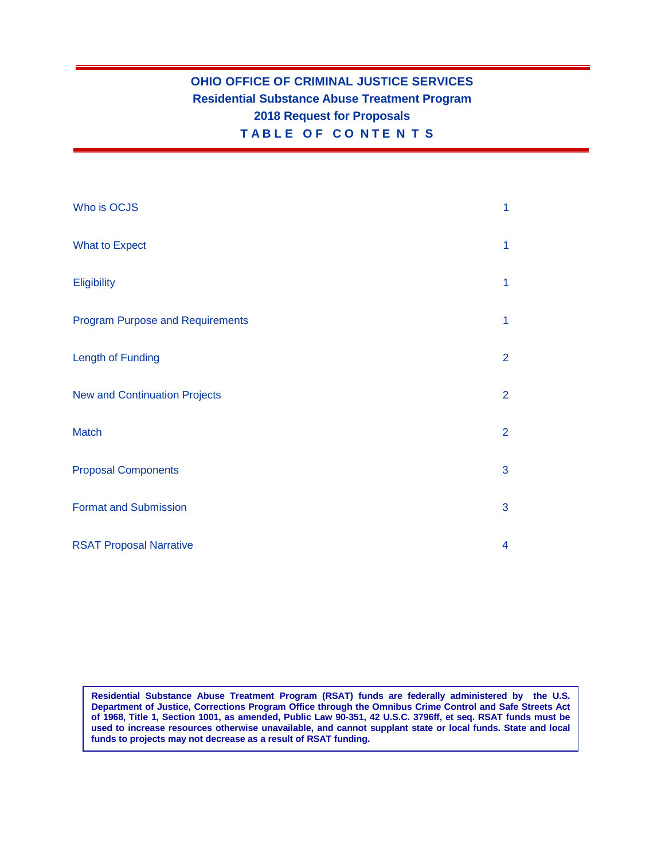## **OHIO OFFICE OF CRIMINAL JUSTICE SERVICES Residential Substance Abuse Treatment Program 2018 Request for Proposals T A B L E O F C O N T E N T S**

| Who is OCJS                             | 1              |
|-----------------------------------------|----------------|
| <b>What to Expect</b>                   | $\mathbf{1}$   |
| <b>Eligibility</b>                      | $\mathbf{1}$   |
| <b>Program Purpose and Requirements</b> | $\mathbf{1}$   |
| Length of Funding                       | $\overline{2}$ |
| <b>New and Continuation Projects</b>    | $\overline{2}$ |
| <b>Match</b>                            | $\overline{2}$ |
| <b>Proposal Components</b>              | 3              |
| <b>Format and Submission</b>            | 3              |
| <b>RSAT Proposal Narrative</b>          | $\overline{4}$ |

**Residential Substance Abuse Treatment Program (RSAT) funds are federally administered by the U.S. Department of Justice, Corrections Program Office through the Omnibus Crime Control and Safe Streets Act** of 1968, Title 1, Section 1001, as amended, Public Law 90-351, 42 U.S.C. 3796ff, et seq. RSAT funds must be **used to increase resources otherwise unavailable, and cannot supplant state or local funds. State and local funds to projects may not decrease as a result of RSAT funding.**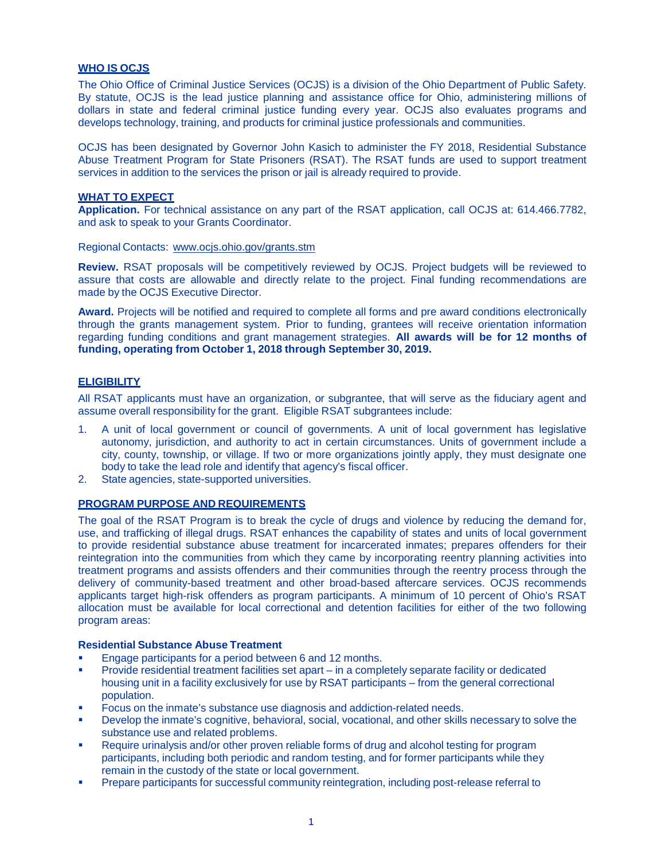#### **WHO IS OCJS**

The Ohio Office of Criminal Justice Services (OCJS) is a division of the Ohio Department of Public Safety. By statute, OCJS is the lead justice planning and assistance office for Ohio, administering millions of dollars in state and federal criminal justice funding every year. OCJS also evaluates programs and develops technology, training, and products for criminal justice professionals and communities.

OCJS has been designated by Governor John Kasich to administer the FY 2018, Residential Substance Abuse Treatment Program for State Prisoners (RSAT). The RSAT funds are used to support treatment services in addition to the services the prison or jail is already required to provide.

#### **WHAT TO EXPECT**

**Application.** For technical assistance on any part of the RSAT application, call OCJS at: 614.466.7782, and ask to speak to your Grants Coordinator.

Regional Contacts: [www.ocjs.ohio.gov/grants.stm](http://www.ocjs.ohio.gov/grants.stm)

**Review.** RSAT proposals will be competitively reviewed by OCJS. Project budgets will be reviewed to assure that costs are allowable and directly relate to the project. Final funding recommendations are made by the OCJS Executive Director.

**Award.** Projects will be notified and required to complete all forms and pre award conditions electronically through the grants management system. Prior to funding, grantees will receive orientation information regarding funding conditions and grant management strategies. **All awards will be for 12 months of funding, operating from October 1, 2018 through September 30, 2019.**

#### **ELIGIBILITY**

All RSAT applicants must have an organization, or subgrantee, that will serve as the fiduciary agent and assume overall responsibility for the grant. Eligible RSAT subgrantees include:

- 1. A unit of local government or council of governments. A unit of local government has legislative autonomy, jurisdiction, and authority to act in certain circumstances. Units of government include a city, county, township, or village. If two or more organizations jointly apply, they must designate one body to take the lead role and identify that agency's fiscal officer.
- 2. State agencies, state-supported universities.

#### **PROGRAM PURPOSE AND REQUIREMENTS**

The goal of the RSAT Program is to break the cycle of drugs and violence by reducing the demand for, use, and trafficking of illegal drugs. RSAT enhances the capability of states and units of local government to provide residential substance abuse treatment for incarcerated inmates; prepares offenders for their reintegration into the communities from which they came by incorporating reentry planning activities into treatment programs and assists offenders and their communities through the reentry process through the delivery of community-based treatment and other broad-based aftercare services. OCJS recommends applicants target high-risk offenders as program participants. A minimum of 10 percent of Ohio's RSAT allocation must be available for local correctional and detention facilities for either of the two following program areas:

#### **Residential Substance Abuse Treatment**

- Engage participants for a period between 6 and 12 months.
- Provide residential treatment facilities set apart in a completely separate facility or dedicated housing unit in a facility exclusively for use by RSAT participants – from the general correctional population.
- Focus on the inmate's substance use diagnosis and addiction-related needs.
- Develop the inmate's cognitive, behavioral, social, vocational, and other skills necessary to solve the substance use and related problems.
- Require urinalysis and/or other proven reliable forms of drug and alcohol testing for program participants, including both periodic and random testing, and for former participants while they remain in the custody of the state or local government.
- Prepare participants for successful community reintegration, including post-release referral to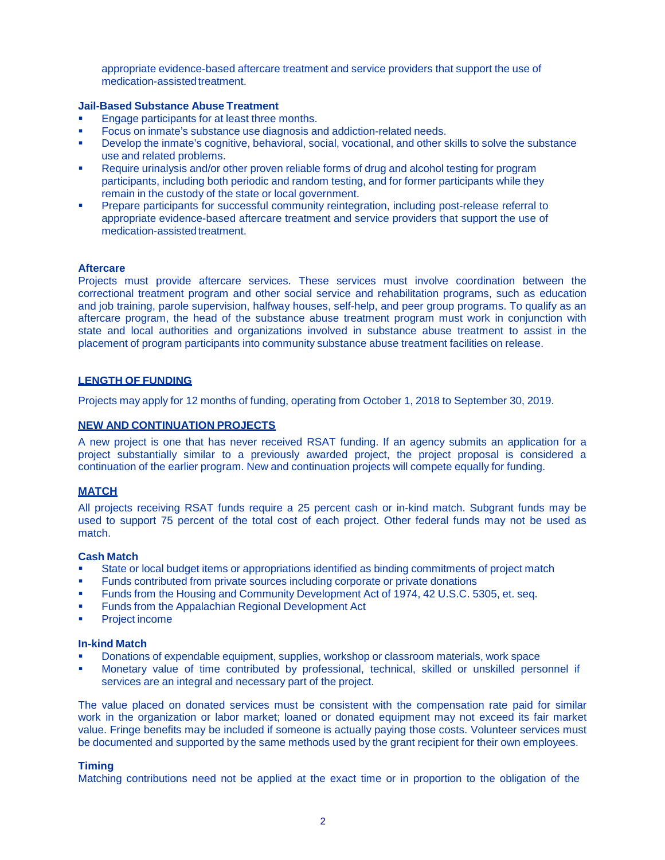appropriate evidence-based aftercare treatment and service providers that support the use of medication-assisted treatment

#### **Jail-Based Substance Abuse Treatment**

- Engage participants for at least three months.
- Focus on inmate's substance use diagnosis and addiction-related needs.
- Develop the inmate's cognitive, behavioral, social, vocational, and other skills to solve the substance use and related problems.
- Require urinalysis and/or other proven reliable forms of drug and alcohol testing for program participants, including both periodic and random testing, and for former participants while they remain in the custody of the state or local government.
- Prepare participants for successful community reintegration, including post-release referral to appropriate evidence-based aftercare treatment and service providers that support the use of medication-assisted treatment.

#### **Aftercare**

Projects must provide aftercare services. These services must involve coordination between the correctional treatment program and other social service and rehabilitation programs, such as education and job training, parole supervision, halfway houses, self-help, and peer group programs. To qualify as an aftercare program, the head of the substance abuse treatment program must work in conjunction with state and local authorities and organizations involved in substance abuse treatment to assist in the placement of program participants into community substance abuse treatment facilities on release.

#### **LENGTH OF FUNDING**

Projects may apply for 12 months of funding, operating from October 1, 2018 to September 30, 2019.

#### **NEW AND CONTINUATION PROJECTS**

A new project is one that has never received RSAT funding. If an agency submits an application for a project substantially similar to a previously awarded project, the project proposal is considered a continuation of the earlier program. New and continuation projects will compete equally for funding.

#### **MATCH**

All projects receiving RSAT funds require a 25 percent cash or in-kind match. Subgrant funds may be used to support 75 percent of the total cost of each project. Other federal funds may not be used as match.

#### **Cash Match**

- State or local budget items or appropriations identified as binding commitments of project match
- Funds contributed from private sources including corporate or private donations
- Funds from the Housing and Community Development Act of 1974, 42 U.S.C. 5305, et. seq.
- Funds from the Appalachian Regional Development Act
- Project income

#### **In-kind Match**

- Donations of expendable equipment, supplies, workshop or classroom materials, work space
- Monetary value of time contributed by professional, technical, skilled or unskilled personnel if services are an integral and necessary part of the project.

The value placed on donated services must be consistent with the compensation rate paid for similar work in the organization or labor market; loaned or donated equipment may not exceed its fair market value. Fringe benefits may be included if someone is actually paying those costs. Volunteer services must be documented and supported by the same methods used by the grant recipient for their own employees.

#### **Timing**

Matching contributions need not be applied at the exact time or in proportion to the obligation of the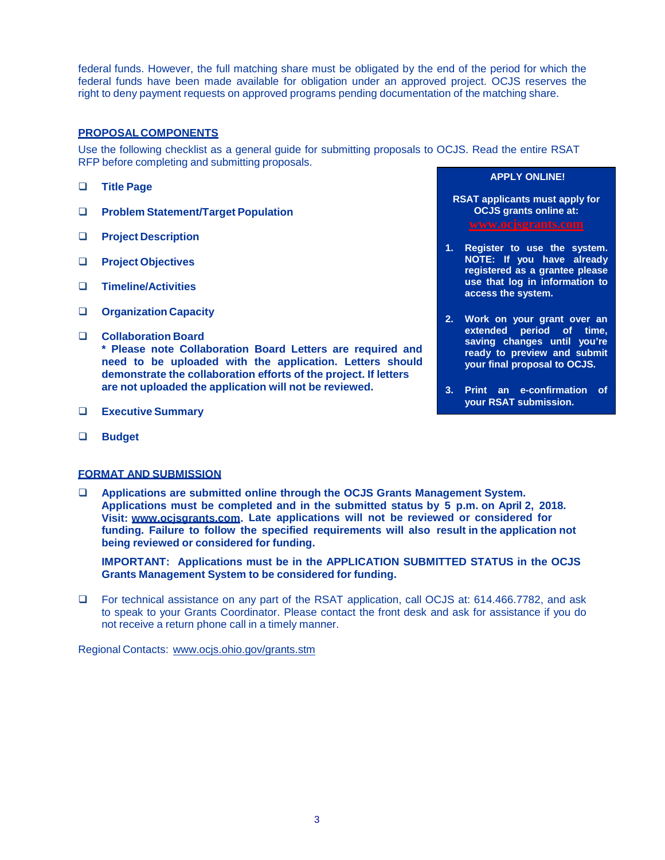federal funds. However, the full matching share must be obligated by the end of the period for which the federal funds have been made available for obligation under an approved project. OCJS reserves the right to deny payment requests on approved programs pending documentation of the matching share.

#### **PROPOSAL COMPONENTS**

Use the following checklist as a general guide for submitting proposals to OCJS. Read the entire RSAT RFP before completing and submitting proposals.

- **Title Page**
- **Problem Statement/Target Population**
- **Project Description**
- **Project Objectives**
- **Timeline/Activities**
- **Organization Capacity**
- **Collaboration Board \* Please note Collaboration Board Letters are required and need to be uploaded with the application. Letters should demonstrate the collaboration efforts of the project. If letters are not uploaded the application will not be reviewed.**
- **Executive Summary**
- **Budget**

#### **FORMAT AND SUBMISSION**

 **Applications are submitted online through the OCJS Grants Management System. Applications must be completed and in the submitted status by 5 p.m. on April 2, 2018. Visit: [www.ocjsgrants.com.](http://www.ocjsgrants.com/) Late applications will not be reviewed or considered for funding. Failure to follow the specified requirements will also result in the application not being reviewed or considered for funding.**

**IMPORTANT: Applications must be in the APPLICATION SUBMITTED STATUS in the OCJS Grants Management System to be considered for funding.**

□ For technical assistance on any part of the RSAT application, call OCJS at: 614.466.7782, and ask to speak to your Grants Coordinator. Please contact the front desk and ask for assistance if you do not receive a return phone call in a timely manner.

Regional Contacts: [www.ocjs.ohio.gov/grants.stm](http://www.ocjs.ohio.gov/grants.stm)

## **APPLY ONLINE!**

**RSAT applicants must apply for OCJS grants online at: [www.ocjsgrants.com](http://www.ocjsgrants.com/)**

- **1. Register to use the system. NOTE: If you have already registered as a grantee please use that log in information to access the system.**
- **2. Work on your grant over an extended period of time, saving changes until you're ready to preview and submit your final proposal to OCJS.**
- **3. Print an e-confirmation of your RSAT submission.**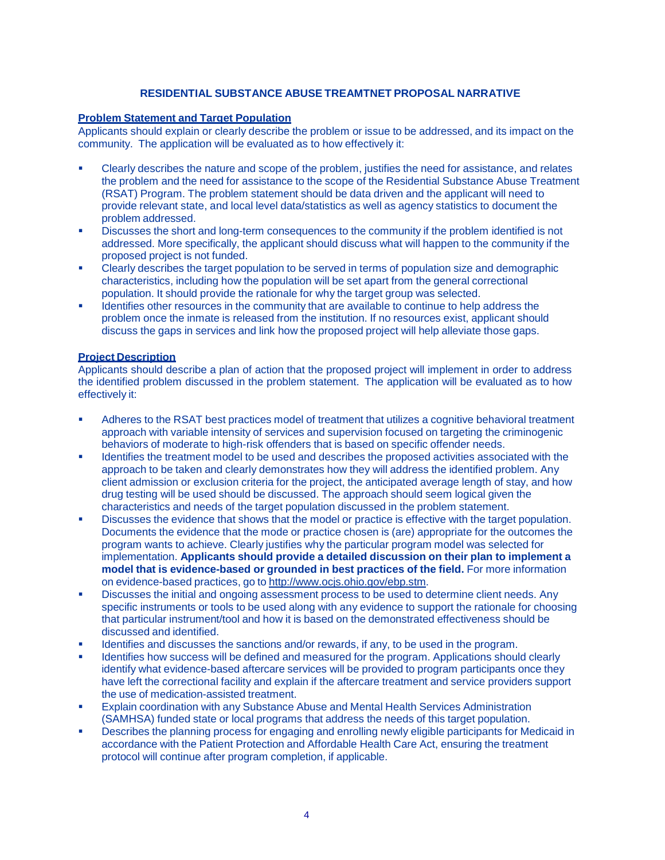#### **RESIDENTIAL SUBSTANCE ABUSE TREAMTNET PROPOSAL NARRATIVE**

#### **Problem Statement and Target Population**

Applicants should explain or clearly describe the problem or issue to be addressed, and its impact on the community. The application will be evaluated as to how effectively it:

- Clearly describes the nature and scope of the problem, justifies the need for assistance, and relates the problem and the need for assistance to the scope of the Residential Substance Abuse Treatment (RSAT) Program. The problem statement should be data driven and the applicant will need to provide relevant state, and local level data/statistics as well as agency statistics to document the problem addressed.
- Discusses the short and long-term consequences to the community if the problem identified is not addressed. More specifically, the applicant should discuss what will happen to the community if the proposed project is not funded.
- Clearly describes the target population to be served in terms of population size and demographic characteristics, including how the population will be set apart from the general correctional population. It should provide the rationale for why the target group was selected.
- Identifies other resources in the community that are available to continue to help address the problem once the inmate is released from the institution. If no resources exist, applicant should discuss the gaps in services and link how the proposed project will help alleviate those gaps.

#### **Project Description**

Applicants should describe a plan of action that the proposed project will implement in order to address the identified problem discussed in the problem statement. The application will be evaluated as to how effectively it:

- Adheres to the RSAT best practices model of treatment that utilizes a cognitive behavioral treatment approach with variable intensity of services and supervision focused on targeting the criminogenic behaviors of moderate to high-risk offenders that is based on specific offender needs.
- Identifies the treatment model to be used and describes the proposed activities associated with the approach to be taken and clearly demonstrates how they will address the identified problem. Any client admission or exclusion criteria for the project, the anticipated average length of stay, and how drug testing will be used should be discussed. The approach should seem logical given the characteristics and needs of the target population discussed in the problem statement.
- Discusses the evidence that shows that the model or practice is effective with the target population. Documents the evidence that the mode or practice chosen is (are) appropriate for the outcomes the program wants to achieve. Clearly justifies why the particular program model was selected for implementation. **Applicants should provide a detailed discussion on their plan to implement a model that is evidence-based or grounded in best practices of the field.** For more information on evidence-based practices, go to [http://www.ocjs.ohio.gov/ebp.stm.](http://www.ocjs.ohio.gov/ebp.stm)
- Discusses the initial and ongoing assessment process to be used to determine client needs. Any specific instruments or tools to be used along with any evidence to support the rationale for choosing that particular instrument/tool and how it is based on the demonstrated effectiveness should be discussed and identified.
- Identifies and discusses the sanctions and/or rewards, if any, to be used in the program.
- Identifies how success will be defined and measured for the program. Applications should clearly identify what evidence-based aftercare services will be provided to program participants once they have left the correctional facility and explain if the aftercare treatment and service providers support the use of medication-assisted treatment.
- Explain coordination with any Substance Abuse and Mental Health Services Administration (SAMHSA) funded state or local programs that address the needs of this target population.
- Describes the planning process for engaging and enrolling newly eligible participants for Medicaid in accordance with the Patient Protection and Affordable Health Care Act, ensuring the treatment protocol will continue after program completion, if applicable.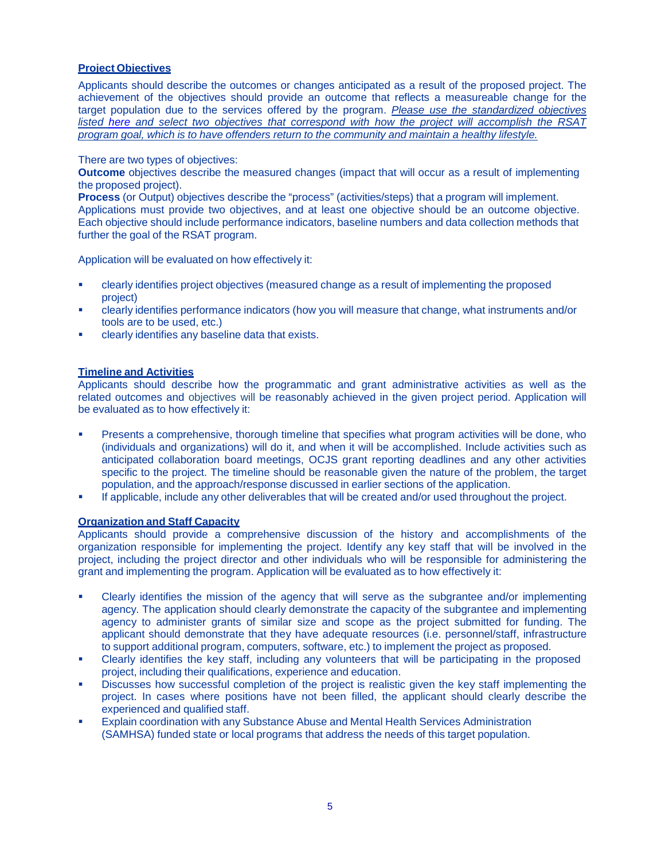#### **Project Objectives**

Applicants should describe the outcomes or changes anticipated as a result of the proposed project. The achievement of the objectives should provide an outcome that reflects a measureable change for the target population due to the services offered by the program. *Please use the standardized objectives listed [here](http://www.ocjs.ohio.gov/RSAT-Objectives.docx) and select two objectives that correspond with how the project will accomplish the RSAT program goal, which is to have offenders return to the community and maintain a healthy lifestyle.*

#### There are two types of objectives:

**Outcome** objectives describe the measured changes (impact that will occur as a result of implementing the proposed project).

**Process** (or Output) objectives describe the "process" (activities/steps) that a program will implement. Applications must provide two objectives, and at least one objective should be an outcome objective. Each objective should include performance indicators, baseline numbers and data collection methods that further the goal of the RSAT program.

Application will be evaluated on how effectively it:

- clearly identifies project objectives (measured change as a result of implementing the proposed project)
- clearly identifies performance indicators (how you will measure that change, what instruments and/or tools are to be used, etc.)
- clearly identifies any baseline data that exists.

#### **Timeline and Activities**

Applicants should describe how the programmatic and grant administrative activities as well as the related outcomes and objectives will be reasonably achieved in the given project period. Application will be evaluated as to how effectively it:

- Presents a comprehensive, thorough timeline that specifies what program activities will be done, who (individuals and organizations) will do it, and when it will be accomplished. Include activities such as anticipated collaboration board meetings, OCJS grant reporting deadlines and any other activities specific to the project. The timeline should be reasonable given the nature of the problem, the target population, and the approach/response discussed in earlier sections of the application.
- If applicable, include any other deliverables that will be created and/or used throughout the project.

#### **Organization and Staff Capacity**

Applicants should provide a comprehensive discussion of the history and accomplishments of the organization responsible for implementing the project. Identify any key staff that will be involved in the project, including the project director and other individuals who will be responsible for administering the grant and implementing the program. Application will be evaluated as to how effectively it:

- Clearly identifies the mission of the agency that will serve as the subgrantee and/or implementing agency. The application should clearly demonstrate the capacity of the subgrantee and implementing agency to administer grants of similar size and scope as the project submitted for funding. The applicant should demonstrate that they have adequate resources (i.e. personnel/staff, infrastructure to support additional program, computers, software, etc.) to implement the project as proposed.
- Clearly identifies the key staff, including any volunteers that will be participating in the proposed project, including their qualifications, experience and education.
- Discusses how successful completion of the project is realistic given the key staff implementing the project. In cases where positions have not been filled, the applicant should clearly describe the experienced and qualified staff.
- Explain coordination with any Substance Abuse and Mental Health Services Administration (SAMHSA) funded state or local programs that address the needs of this target population.